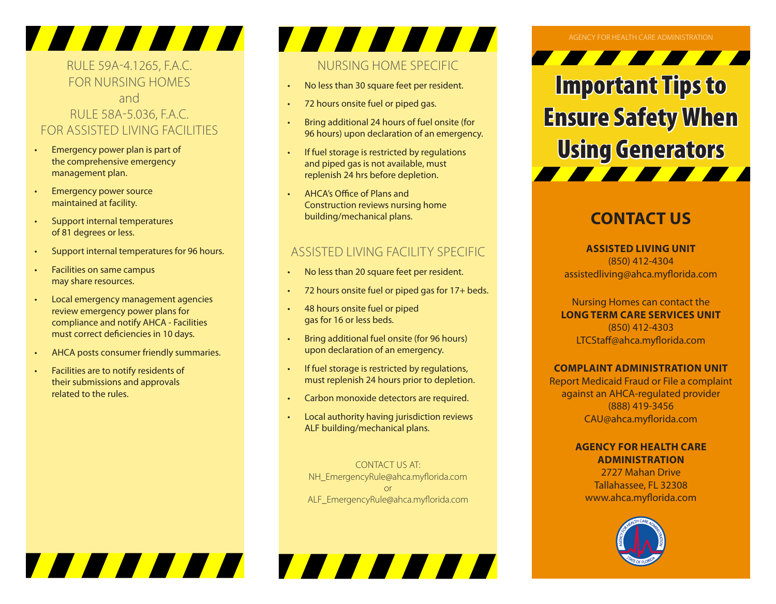## RULE 59A-4.1265, F.A.C. FOR NURSING HOMES

**THE TELEVISION** 

### and RULE 58A-5.036, F.A.C. FOR ASSISTED LIVING FACILITIES

- Emergency power plan is part of the comprehensive emergency management plan.
- Emergency power source maintained at facility.
- Support internal temperatures of 81 degrees or less.
- Support internal temperatures for 96 hours.
- Facilities on same campus may share resources.
- Local emergency management agencies review emergency power plans for compliance and notify AHCA - Facilities must correct deficiencies in 10 days.
- AHCA posts consumer friendly summaries.

7 8 8 8 8 8 7

• Facilities are to notify residents of their submissions and approvals related to the rules.

# NURSING HOME SPECIFIC

**TANIAN** 

- No less than 30 square feet per resident.
- 72 hours onsite fuel or piped gas.
- Bring additional 24 hours of fuel onsite (for 96 hours) upon declaration of an emergency.
- If fuel storage is restricted by regulations and piped gas is not available, must replenish 24 hrs before depletion.
- AHCA's Office of Plans and Construction reviews nursing home building/mechanical plans.

### ASSISTED LIVING FACILITY SPECIFIC

- No less than 20 square feet per resident.
- 72 hours onsite fuel or piped gas for 17+ beds.
- 48 hours onsite fuel or piped gas for 16 or less beds.
- Bring additional fuel onsite (for 96 hours) upon declaration of an emergency.
- If fuel storage is restricted by regulations, must replenish 24 hours prior to depletion.
- Carbon monoxide detectors are required.
- Local authority having jurisdiction reviews ALF building/mechanical plans.

CONTACT US AT: NH\_EmergencyRule@ahca.myflorida.com or ALF\_EmergencyRule@ahca.myflorida.com

TA A A A A A

### AGENCY FOR HEALTH CARE ADMINISTRATION

<u> The Communication of the Communication of the Communication of the Communication of the Communication of the Communication of the Communication of the Communication of the Communication of the Communication of the Commun</u> Important Tips to Ensure Safety When Using Generators

## **CONTACT US**

**ASSISTED LIVING UNIT** (850) 412-4304 assistedliving@ahca.myflorida.com

Nursing Homes can contact the **LONG TERM CARE SERVICES UNIT** (850) 412-4303 LTCStaff@ahca.myflorida.com

### **COMPLAINT ADMINISTRATION UNIT**

Report Medicaid Fraud or File a complaint against an AHCA-regulated provider (888) 419-3456 CAU@ahca.myflorida.com

### **AGENCY FOR HEALTH CARE ADMINISTRATION**

2727 Mahan Drive Tallahassee, FL 32308 www.ahca.myflorida.com